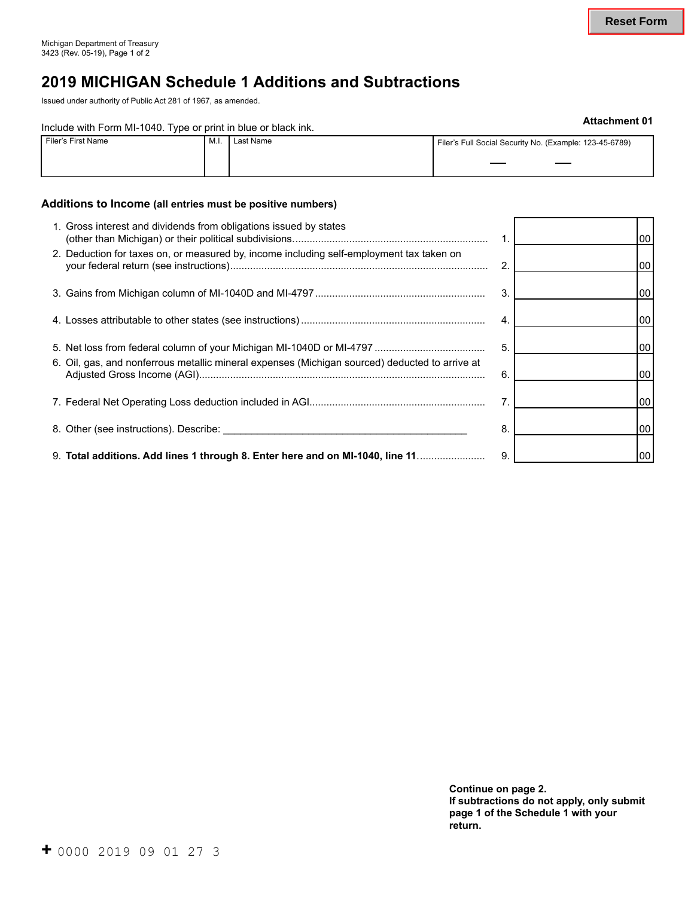# **2019 MICHIGAN Schedule 1 Additions and Subtractions**

Issued under authority of Public Act 281 of 1967, as amended.

## **Include with Form MI-1040. Type or print in blue or black ink.** The state of the state of the state of the state of the state of the state of the state of the state of the state of the state of the state of the state of t

| Filer's First Name<br>IVI.I |  | Last Name | Filer's Full Social Security No. (Example: 123-45-6789) |
|-----------------------------|--|-----------|---------------------------------------------------------|
|                             |  |           |                                                         |

### **Additions to Income (all entries must be positive numbers)**

| 1. Gross interest and dividends from obligations issued by states                              |    | 00              |
|------------------------------------------------------------------------------------------------|----|-----------------|
| 2. Deduction for taxes on, or measured by, income including self-employment tax taken on       | 2. | 00              |
|                                                                                                | 3. | 00              |
|                                                                                                | 4. | 00              |
|                                                                                                | 5. | 00              |
| 6. Oil, gas, and nonferrous metallic mineral expenses (Michigan sourced) deducted to arrive at | 6. | 00 <sub>1</sub> |
|                                                                                                | 7. | 00              |
|                                                                                                | 8. | 00              |
| 9. Total additions. Add lines 1 through 8. Enter here and on MI-1040, line 11                  | 9. | 00              |